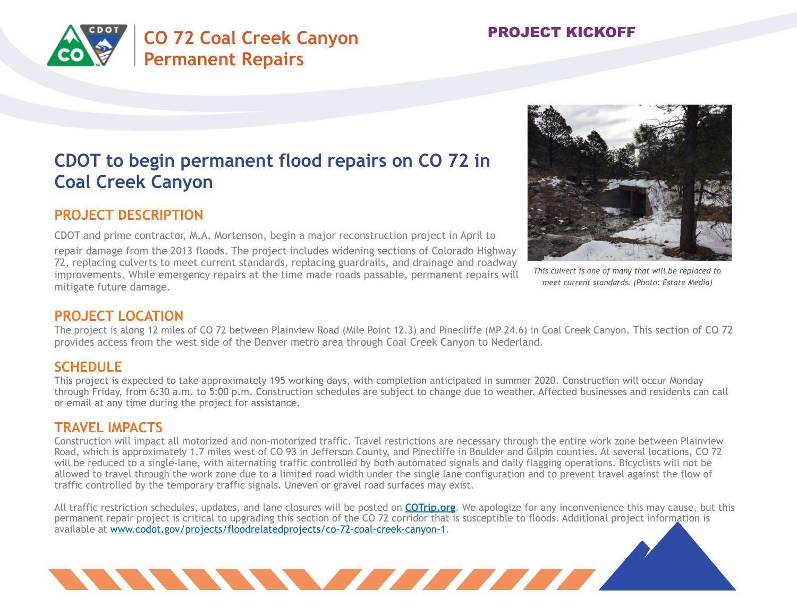



# **CDOT to begin permanent flood repairs on CO 72 in Coal Creek Canyon**

## **PROJECT DESCRIPTION**

CDOT and prime contractor, M.A. Mortenson, begin a major reconstruction project in April to repair damage from the 2013 floods. The project includes widening sections of Colorado Highway 72, replacing culverts to meet current standards, replacing guardrails, and drainage and roadway improvements. While emergency repairs at the time made roads passable, permanent repairs will mitigate future damage.



*This culvert is one of many that will be replaced to meet current standards. (Photo: Estate Media)* 

### **PROJECT LOCATION**

The project is along 12 miles of CO 72 between Plainview Road (Mile Point 12.3) and Pinecliffe (MP 24.6) in Coal Creek Canyon. This section of CO 72 provides access from the west side of the Denver metro area through Coal Creek Canyon to Nederland.

### **SCHEDULE**

This project is expected to take approximately 195 working days, with completion anticipated in summer 2020. Construction will occur Monday through Friday, from 6:30 a.m. to 5:00 p.m. Construction schedules are subject to change due to weather. Affected businesses and residents can call or email at any time during the project for assistance.

#### **TRAVEL IMPACTS**

Construction will impact all motorized and non-motorized traffic. Travel restrictions are necessary through the entire work zone between Plainview Road, which is approximately 1.7 miles west of CO 93 in Jefferson County, and Pinecliffe in Boulder and Gilpin counties. At several locations, CO 72 will be reduced to a single-lane, with alternating traffic controlled by both automated signals and daily flagging operations. Bicyclists will not be allowed to travel through the work zone due to a limited road width under the single lane configuration and to prevent travel against the flow of traffic controlled by the temporary traffic signals. Uneven or gravel road surfaces may exist.

All traffic restriction schedules, updates, and lane closures will be posted on **COTrip.org**. We apologize for any inconvenience this may cause, but this permanent repair project is critical to upgrading this section of the CO 72 corridor that is susceptible to floods. Additional project information is available at www.codot.gov/projects/floodrelatedprojects/co-72-coal-creek-canyon-1.